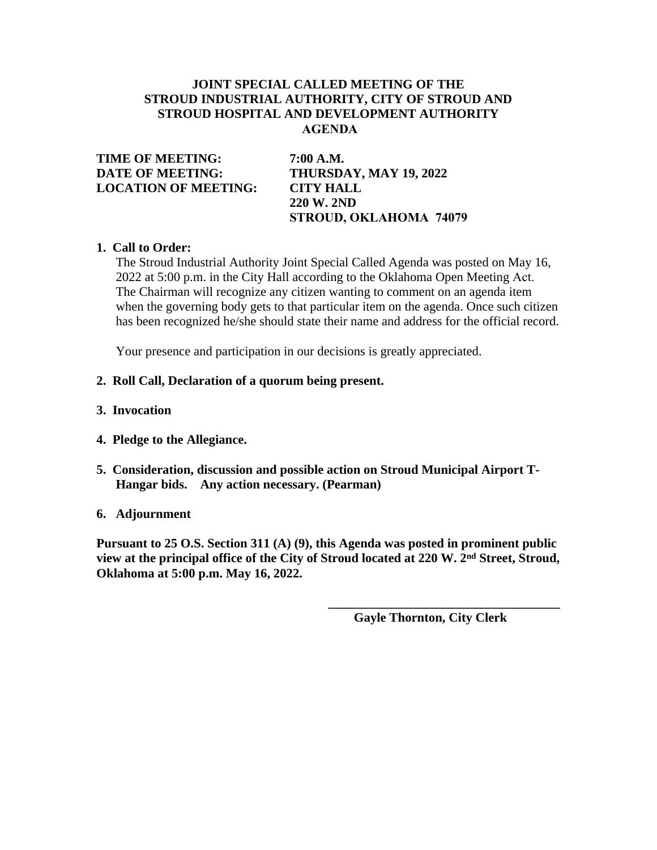# **JOINT SPECIAL CALLED MEETING OF THE STROUD INDUSTRIAL AUTHORITY, CITY OF STROUD AND STROUD HOSPITAL AND DEVELOPMENT AUTHORITY AGENDA**

**TIME OF MEETING: 7:00 A.M. DATE OF MEETING: THURSDAY, MAY 19, 2022 LOCATION OF MEETING: CITY HALL**

**220 W. 2ND STROUD, OKLAHOMA 74079**

# **1. Call to Order:**

The Stroud Industrial Authority Joint Special Called Agenda was posted on May 16, 2022 at 5:00 p.m. in the City Hall according to the Oklahoma Open Meeting Act. The Chairman will recognize any citizen wanting to comment on an agenda item when the governing body gets to that particular item on the agenda. Once such citizen has been recognized he/she should state their name and address for the official record.

Your presence and participation in our decisions is greatly appreciated.

## **2. Roll Call, Declaration of a quorum being present.**

- **3. Invocation**
- **4. Pledge to the Allegiance.**
- **5. Consideration, discussion and possible action on Stroud Municipal Airport T-Hangar bids. Any action necessary. (Pearman)**

## **6. Adjournment**

**Pursuant to 25 O.S. Section 311 (A) (9), this Agenda was posted in prominent public view at the principal office of the City of Stroud located at 220 W. 2nd Street, Stroud, Oklahoma at 5:00 p.m. May 16, 2022.**

 **Gayle Thornton, City Clerk**

**\_\_\_\_\_\_\_\_\_\_\_\_\_\_\_\_\_\_\_\_\_\_\_\_\_\_\_\_\_\_\_\_\_\_\_\_**